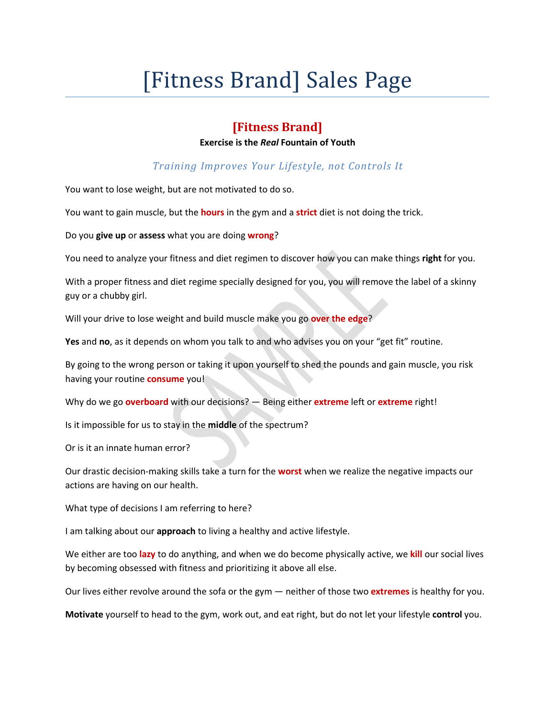# [Fitness Brand] Sales Page

## **[Fitness Brand]**

#### **Exercise is the** *Real* **Fountain of Youth**

*Training Improves Your Lifestyle, not Controls It*

You want to lose weight, but are not motivated to do so.

You want to gain muscle, but the **hours** in the gym and a **strict** diet is not doing the trick.

Do you **give up** or **assess** what you are doing **wrong**?

You need to analyze your fitness and diet regimen to discover how you can make things **right** for you.

With a proper fitness and diet regime specially designed for you, you will remove the label of a skinny guy or a chubby girl.

Will your drive to lose weight and build muscle make you go **over the edge**?

**Yes** and **no**, as it depends on whom you talk to and who advises you on your "get fit" routine.

By going to the wrong person or taking it upon yourself to shed the pounds and gain muscle, you risk having your routine **consume** you!

Why do we go **overboard** with ourdecisions? — Being either **extreme** left or **extreme** right!

Is it impossible for us to stay in the **middle** of the spectrum?

Or is it an innate human error?

Our drastic decision-making skills take a turn for the **worst** when we realize the negative impacts our actions are having on our health.

What type of decisions I am referring to here?

I am talking about our **approach** to living a healthy and active lifestyle.

We either are too lazy to do anything, and when we do become physically active, we kill our social lives by becoming obsessed with fitness and prioritizing it above all else.

Our lives either revolve around the sofa or the gym — neither of those two **extremes** is healthy for you.

**Motivate** yourself to head to the gym, work out, and eat right, but do not let your lifestyle **control** you.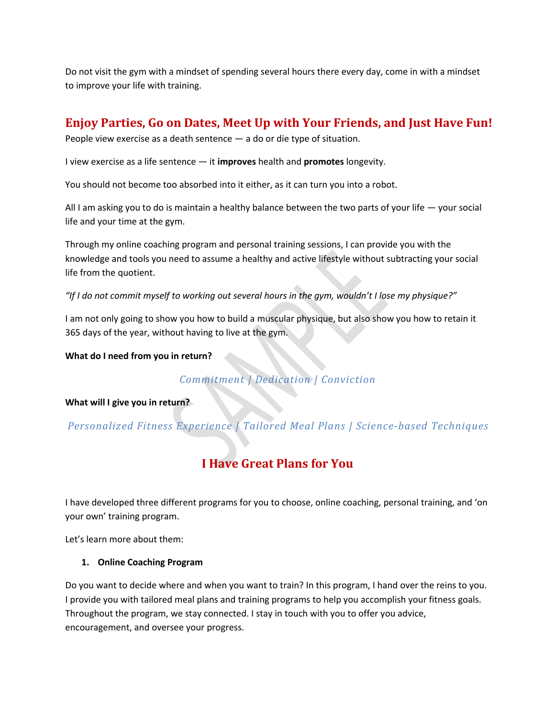Do not visit the gym with a mindset of spending several hours there every day, come in with a mindset to improve your life with training.

## **Enjoy Parties, Go on Dates, Meet Up with Your Friends, and Just Have Fun!**

People view exercise as a death sentence — a do or die type of situation.

I view exercise as a life sentence — it **improves** health and **promotes** longevity.

You should not become too absorbed into it either, as it can turn you into a robot.

All I am asking you to do is maintain a healthy balance between the two parts of your life — your social life and your time at the gym.

Through my online coaching program and personal training sessions, I can provide you with the knowledge and tools you need to assume a healthy and active lifestyle without subtracting your social life from the quotient.

"If I do not commit myself to working out several hours in the gym, wouldn't I lose my physique?"

I am not only going to show you how to build a muscular physique, but also show you how to retain it 365 days of the year, without having to live at the gym.

**What do I need from you in return?**

*Commitment | Dedication | Conviction*

**What will I give you in return?**

*Personalized Fitness Experience | Tailored Meal Plans | Science-based Techniques*

## **I Have Great Plans for You**

I have developed three different programs for you to choose, online coaching, personal training, and 'on your own' training program.

Let's learn more about them:

#### **1. Online Coaching Program**

Do you want to decide where and when you want to train? In this program, I hand over the reins to you. I provide you with tailored meal plans and training programs to help you accomplish your fitness goals. Throughout the program, we stay connected. I stay in touch with you to offer you advice, encouragement, and oversee your progress.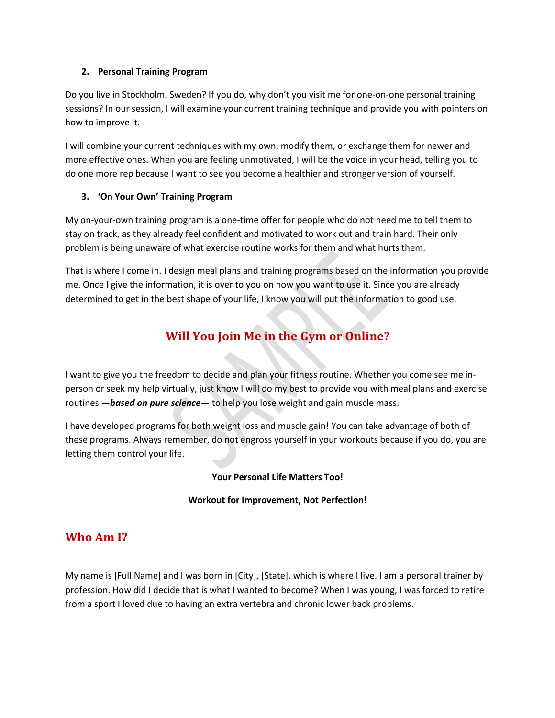#### **2. Personal Training Program**

Do you live in Stockholm, Sweden? If you do,why don't you visit me for one-on-one personal training sessions? In our session, I will examine your current training technique and provide you with pointers on how to improve it.

I will combine your current techniques with my own, modify them, or exchange them for newer and more effective ones. When you are feeling unmotivated, I will be the voice in your head, telling you to do one more rep because I want to see you become a healthier and stronger version of yourself.

#### **3. 'On Your Own' Training Program**

My on-your-own training program is a one-time offer for people who do not need me to tell them to stay on track, as they already feel confident and motivated to work out and train hard. Their only problem is being unaware of what exercise routine works for them and what hurts them.

That is where I come in. I design meal plans and training programs based on the information you provide me. Once I give the information, it is over to you on how you want to use it. Since you are already determined to get in the best shape of your life, I know you will put the information to good use.

# **Will You Join Me in the Gym or Online?**

I want to give you the freedom to decide and plan your fitness routine. Whether you come see me in person or seek my help virtually, just know I will do my best to provide you with meal plans and exercise routines —*based on pure science*— to help you lose weight and gain muscle mass.

I have developed programs for both weight loss and muscle gain! You can take advantage of both of these programs. Always remember, do not engross yourself in your workouts because if you do, you are letting them control your life.

#### **Your Personal Life Matters Too!**

#### **Workout for Improvement, Not Perfection!**

## **Who Am I?**

My name is [Full Name] and I was born in [City], [State], which is where I live. I am a personal trainer by profession. How did I decide that is what I wanted to become? When I was young, I was forced to retire from a sport I loved due to having an extra vertebra and chronic lower back problems.